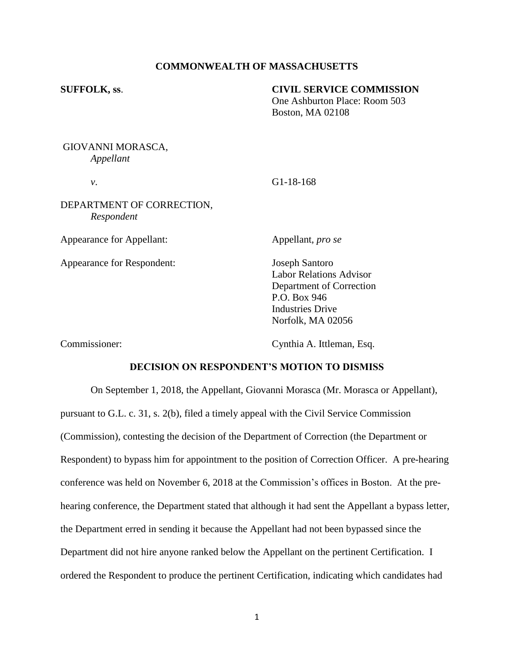# **COMMONWEALTH OF MASSACHUSETTS**

## **SUFFOLK, ss**. **CIVIL SERVICE COMMISSION**

One Ashburton Place: Room 503 Boston, MA 02108

GIOVANNI MORASCA, *Appellant*

*v*. G1-18-168

DEPARTMENT OF CORRECTION, *Respondent*

Appearance for Appellant: Appellant, *pro se*

Appearance for Respondent: Joseph Santoro

Labor Relations Advisor Department of Correction P.O. Box 946 Industries Drive Norfolk, MA 02056

Commissioner: Cynthia A. Ittleman, Esq.

# **DECISION ON RESPONDENT'S MOTION TO DISMISS**

On September 1, 2018, the Appellant, Giovanni Morasca (Mr. Morasca or Appellant), pursuant to G.L. c. 31, s. 2(b), filed a timely appeal with the Civil Service Commission (Commission), contesting the decision of the Department of Correction (the Department or Respondent) to bypass him for appointment to the position of Correction Officer. A pre-hearing conference was held on November 6, 2018 at the Commission's offices in Boston. At the prehearing conference, the Department stated that although it had sent the Appellant a bypass letter, the Department erred in sending it because the Appellant had not been bypassed since the Department did not hire anyone ranked below the Appellant on the pertinent Certification. I ordered the Respondent to produce the pertinent Certification, indicating which candidates had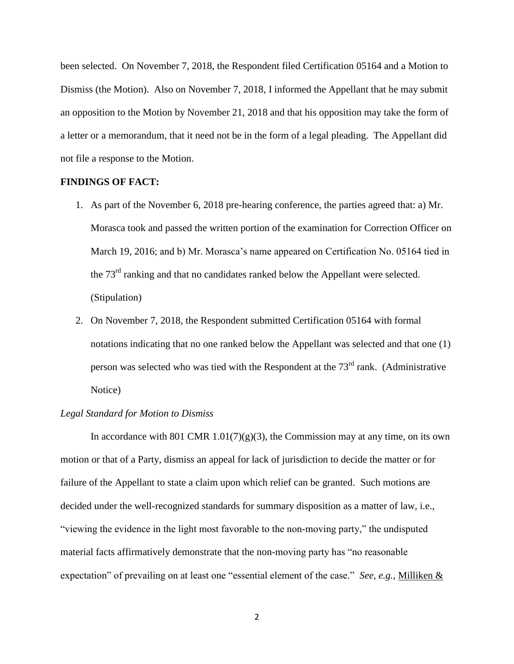been selected. On November 7, 2018, the Respondent filed Certification 05164 and a Motion to Dismiss (the Motion). Also on November 7, 2018, I informed the Appellant that he may submit an opposition to the Motion by November 21, 2018 and that his opposition may take the form of a letter or a memorandum, that it need not be in the form of a legal pleading. The Appellant did not file a response to the Motion.

## **FINDINGS OF FACT:**

- 1. As part of the November 6, 2018 pre-hearing conference, the parties agreed that: a) Mr. Morasca took and passed the written portion of the examination for Correction Officer on March 19, 2016; and b) Mr. Morasca's name appeared on Certification No. 05164 tied in the 73<sup>rd</sup> ranking and that no candidates ranked below the Appellant were selected. (Stipulation)
- 2. On November 7, 2018, the Respondent submitted Certification 05164 with formal notations indicating that no one ranked below the Appellant was selected and that one (1) person was selected who was tied with the Respondent at the  $73<sup>rd</sup>$  rank. (Administrative Notice)

## *Legal Standard for Motion to Dismiss*

In accordance with 801 CMR 1.01(7)(g)(3), the Commission may at any time, on its own motion or that of a Party, dismiss an appeal for lack of jurisdiction to decide the matter or for failure of the Appellant to state a claim upon which relief can be granted. Such motions are decided under the well-recognized standards for summary disposition as a matter of law, i.e., "viewing the evidence in the light most favorable to the non-moving party," the undisputed material facts affirmatively demonstrate that the non-moving party has "no reasonable expectation" of prevailing on at least one "essential element of the case." *See, e.g.,* Milliken &

2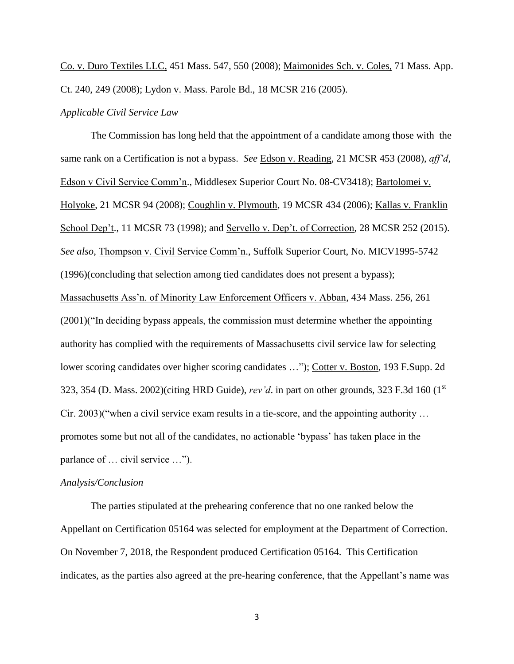Co. v. Duro Textiles LLC, 451 Mass. 547, 550 (2008); Maimonides Sch. v. Coles, 71 Mass. App. Ct. 240, 249 (2008); Lydon v. Mass. Parole Bd., 18 MCSR 216 (2005).

## *Applicable Civil Service Law*

The Commission has long held that the appointment of a candidate among those with the same rank on a Certification is not a bypass. *See* Edson v. Reading, 21 MCSR 453 (2008), *aff'd,* Edson v Civil Service Comm'n., Middlesex Superior Court No. 08-CV3418); Bartolomei v. Holyoke, 21 MCSR 94 (2008); Coughlin v. Plymouth, 19 MCSR 434 (2006); Kallas v. Franklin School Dep't., 11 MCSR 73 (1998); and <u>Servello v. Dep't. of Correction</u>, 28 MCSR 252 (2015). *See also*, Thompson v. Civil Service Comm'n., Suffolk Superior Court, No. MICV1995-5742 (1996)(concluding that selection among tied candidates does not present a bypass); Massachusetts Ass'n. of Minority Law Enforcement Officers v. Abban, 434 Mass. 256, 261 (2001)("In deciding bypass appeals, the commission must determine whether the appointing authority has complied with the requirements of Massachusetts civil service law for selecting lower scoring candidates over higher scoring candidates …"); Cotter v. Boston, 193 F.Supp. 2d 323, 354 (D. Mass. 2002)(citing HRD Guide), *rev'd*. in part on other grounds, 323 F.3d 160 (1st Cir. 2003)("when a civil service exam results in a tie-score, and the appointing authority … promotes some but not all of the candidates, no actionable 'bypass' has taken place in the parlance of … civil service …").

## *Analysis/Conclusion*

The parties stipulated at the prehearing conference that no one ranked below the Appellant on Certification 05164 was selected for employment at the Department of Correction. On November 7, 2018, the Respondent produced Certification 05164. This Certification indicates, as the parties also agreed at the pre-hearing conference, that the Appellant's name was

3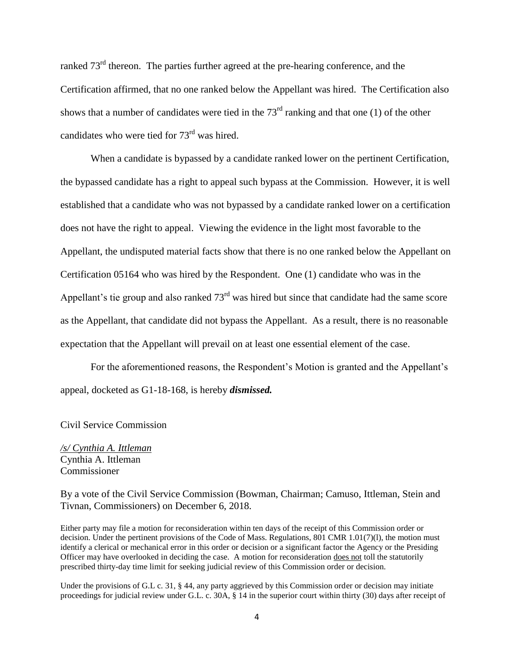ranked  $73<sup>rd</sup>$  thereon. The parties further agreed at the pre-hearing conference, and the Certification affirmed, that no one ranked below the Appellant was hired. The Certification also shows that a number of candidates were tied in the  $73<sup>rd</sup>$  ranking and that one (1) of the other candidates who were tied for  $73<sup>rd</sup>$  was hired.

When a candidate is bypassed by a candidate ranked lower on the pertinent Certification, the bypassed candidate has a right to appeal such bypass at the Commission. However, it is well established that a candidate who was not bypassed by a candidate ranked lower on a certification does not have the right to appeal. Viewing the evidence in the light most favorable to the Appellant, the undisputed material facts show that there is no one ranked below the Appellant on Certification 05164 who was hired by the Respondent. One (1) candidate who was in the Appellant's tie group and also ranked  $73<sup>rd</sup>$  was hired but since that candidate had the same score as the Appellant, that candidate did not bypass the Appellant. As a result, there is no reasonable expectation that the Appellant will prevail on at least one essential element of the case.

For the aforementioned reasons, the Respondent's Motion is granted and the Appellant's appeal, docketed as G1-18-168, is hereby *dismissed.* 

#### Civil Service Commission

*/s/ Cynthia A. Ittleman* Cynthia A. Ittleman Commissioner

By a vote of the Civil Service Commission (Bowman, Chairman; Camuso, Ittleman, Stein and Tivnan, Commissioners) on December 6, 2018.

Either party may file a motion for reconsideration within ten days of the receipt of this Commission order or decision. Under the pertinent provisions of the Code of Mass. Regulations, 801 CMR 1.01(7)(l), the motion must identify a clerical or mechanical error in this order or decision or a significant factor the Agency or the Presiding Officer may have overlooked in deciding the case. A motion for reconsideration does not toll the statutorily prescribed thirty-day time limit for seeking judicial review of this Commission order or decision.

Under the provisions of G.L c. 31, § 44, any party aggrieved by this Commission order or decision may initiate proceedings for judicial review under G.L. c. 30A, § 14 in the superior court within thirty (30) days after receipt of